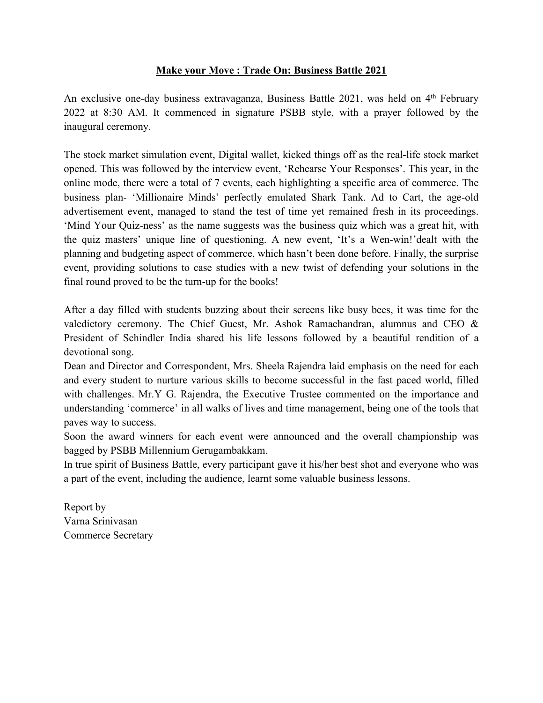## **Make your Move : Trade On: Business Battle 2021**

An exclusive one-day business extravaganza, Business Battle 2021, was held on 4<sup>th</sup> February 2022 at 8:30 AM. It commenced in signature PSBB style, with a prayer followed by the inaugural ceremony.

The stock market simulation event, Digital wallet, kicked things off as the real-life stock market opened. This was followed by the interview event, 'Rehearse Your Responses'. This year, in the online mode, there were a total of 7 events, each highlighting a specific area of commerce. The business plan- 'Millionaire Minds' perfectly emulated Shark Tank. Ad to Cart, the age-old advertisement event, managed to stand the test of time yet remained fresh in its proceedings. 'Mind Your Quiz-ness' as the name suggests was the business quiz which was a great hit, with the quiz masters' unique line of questioning. A new event, 'It's a Wen-win!'dealt with the planning and budgeting aspect of commerce, which hasn't been done before. Finally, the surprise event, providing solutions to case studies with a new twist of defending your solutions in the final round proved to be the turn-up for the books!

After a day filled with students buzzing about their screens like busy bees, it was time for the valedictory ceremony. The Chief Guest, Mr. Ashok Ramachandran, alumnus and CEO & President of Schindler India shared his life lessons followed by a beautiful rendition of a devotional song.

Dean and Director and Correspondent, Mrs. Sheela Rajendra laid emphasis on the need for each and every student to nurture various skills to become successful in the fast paced world, filled with challenges. Mr.Y G. Rajendra, the Executive Trustee commented on the importance and understanding 'commerce' in all walks of lives and time management, being one of the tools that paves way to success.

Soon the award winners for each event were announced and the overall championship was bagged by PSBB Millennium Gerugambakkam.

In true spirit of Business Battle, every participant gave it his/her best shot and everyone who was a part of the event, including the audience, learnt some valuable business lessons.

Report by Varna Srinivasan Commerce Secretary